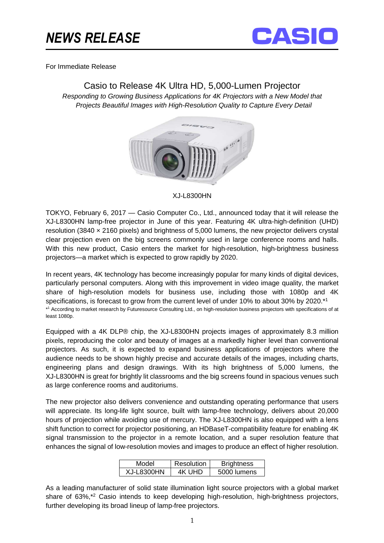## *NEWS RELEASE*



For Immediate Release

## Casio to Release 4K Ultra HD, 5,000-Lumen Projector

Responding to Growing Business Applications for 4K Projectors with a New Model that Projects Beautiful Images with High-Resolution Quality to Capture Every Detail



## XJ-L8300HN

TOKYO, February 6, 2017 — Casio Computer Co., Ltd., announced today that it will release the XJ-L8300HN lamp-free projector in June of this year. Featuring 4K ultra-high-definition (UHD) resolution (3840 × 2160 pixels) and brightness of 5,000 lumens, the new projector delivers crystal clear projection even on the big screens commonly used in large conference rooms and halls. With this new product, Casio enters the market for high-resolution, high-brightness business projectors—a market which is expected to grow rapidly by 2020.

In recent years, 4K technology has become increasingly popular for many kinds of digital devices, particularly personal computers. Along with this improvement in video image quality, the market share of high-resolution models for business use, including those with 1080p and 4K specifications, is forecast to grow from the current level of under 10% to about 30% by 2020.<sup>\*1</sup> \* 1 According to market research by Futuresource Consulting Ltd., on high-resolution business projectors with specifications of at least 1080p.

Equipped with a 4K DLP® chip, the XJ-L8300HN projects images of approximately 8.3 million pixels, reproducing the color and beauty of images at a markedly higher level than conventional projectors. As such, it is expected to expand business applications of projectors where the audience needs to be shown highly precise and accurate details of the images, including charts, engineering plans and design drawings. With its high brightness of 5,000 lumens, the XJ-L8300HN is great for brightly lit classrooms and the big screens found in spacious venues such as large conference rooms and auditoriums.

The new projector also delivers convenience and outstanding operating performance that users will appreciate. Its long-life light source, built with lamp-free technology, delivers about 20,000 hours of projection while avoiding use of mercury. The XJ-L8300HN is also equipped with a lens shift function to correct for projector positioning, an HDBaseT-compatibility feature for enabling 4K signal transmission to the projector in a remote location, and a super resolution feature that enhances the signal of low-resolution movies and images to produce an effect of higher resolution.

| Model      | <b>Resolution</b> | <b>Brightness</b> |
|------------|-------------------|-------------------|
| XJ-L8300HN | 4K UHD            | 5000 lumens       |

As a leading manufacturer of solid state illumination light source projectors with a global market share of 63%,<sup>\*2</sup> Casio intends to keep developing high-resolution, high-brightness projectors, further developing its broad lineup of lamp-free projectors.